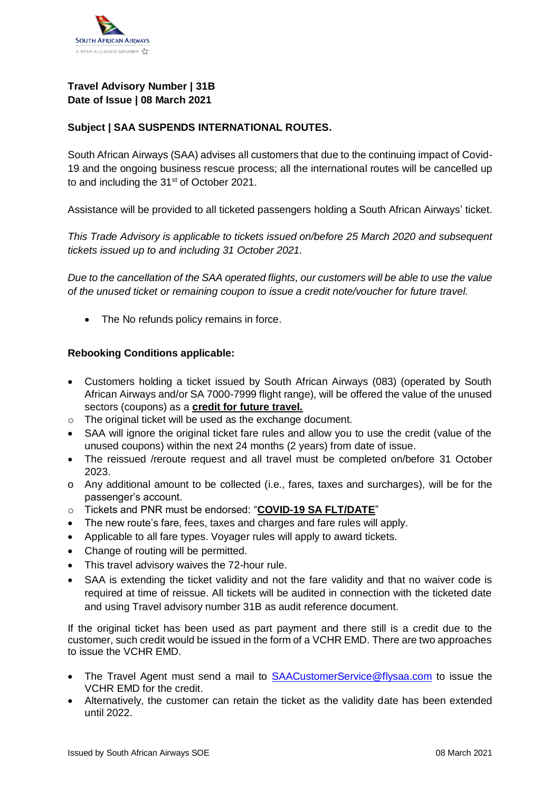

## **Travel Advisory Number | 31B Date of Issue | 08 March 2021**

## **Subject | SAA SUSPENDS INTERNATIONAL ROUTES.**

South African Airways (SAA) advises all customers that due to the continuing impact of Covid-19 and the ongoing business rescue process; all the international routes will be cancelled up to and including the 31<sup>st</sup> of October 2021.

Assistance will be provided to all ticketed passengers holding a South African Airways' ticket.

*This Trade Advisory is applicable to tickets issued on/before 25 March 2020 and subsequent tickets issued up to and including 31 October 2021.*

*Due to the cancellation of the SAA operated flights, our customers will be able to use the value of the unused ticket or remaining coupon to issue a credit note/voucher for future travel.*

• The No refunds policy remains in force.

## **Rebooking Conditions applicable:**

- Customers holding a ticket issued by South African Airways (083) (operated by South African Airways and/or SA 7000-7999 flight range), will be offered the value of the unused sectors (coupons) as a **credit for future travel.**
- o The original ticket will be used as the exchange document.
- SAA will ignore the original ticket fare rules and allow you to use the credit (value of the unused coupons) within the next 24 months (2 years) from date of issue.
- The reissued /reroute request and all travel must be completed on/before 31 October 2023.
- o Any additional amount to be collected (i.e., fares, taxes and surcharges), will be for the passenger's account.
- o Tickets and PNR must be endorsed: "**COVID-19 SA FLT/DATE**"
- The new route's fare, fees, taxes and charges and fare rules will apply.
- Applicable to all fare types. Voyager rules will apply to award tickets.
- Change of routing will be permitted.
- This travel advisory waives the 72-hour rule.
- SAA is extending the ticket validity and not the fare validity and that no waiver code is required at time of reissue. All tickets will be audited in connection with the ticketed date and using Travel advisory number 31B as audit reference document.

If the original ticket has been used as part payment and there still is a credit due to the customer, such credit would be issued in the form of a VCHR EMD. There are two approaches to issue the VCHR EMD.

- The Travel Agent must send a mail to [SAACustomerService@flysaa.com](mailto:SAACustomerService@flysaa.com) to issue the VCHR EMD for the credit.
- Alternatively, the customer can retain the ticket as the validity date has been extended until 2022.